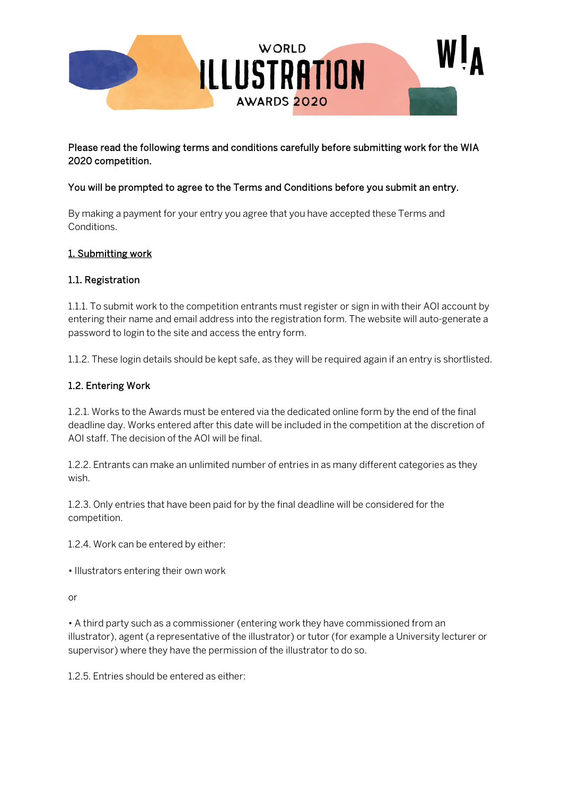

## Please read the following terms and conditions carefully before submitting work for the WIA 2020 competition.

### You will be prompted to agree to the Terms and Conditions before you submit an entry.

By making a payment for your entry you agree that you have accepted these Terms and Conditions.

#### 1. Submitting work

#### 1.1. Registration

1.1.1. To submit work to the competition entrants must register or sign in with their AOI account by entering their name and email address into the registration form. The website will auto-generate a password to login to the site and access the entry form.

1.1.2. These login details should be kept safe, as they will be required again if an entry is shortlisted.

#### 1.2. Entering Work

1.2.1. Works to the Awards must be entered via the dedicated online form by the end of the final deadline day. Works entered after this date will be included in the competition at the discretion of AOI staff. The decision of the AOI will be final.

1.2.2. Entrants can make an unlimited number of entries in as many different categories as they wish.

1.2.3. Only entries that have been paid for by the final deadline will be considered for the competition.

1.2.4. Work can be entered by either:

• Illustrators entering their own work

or

• A third party such as a commissioner (entering work they have commissioned from an illustrator), agent (a representative of the illustrator) or tutor (for example a University lecturer or supervisor) where they have the permission of the illustrator to do so.

1.2.5. Entries should be entered as either: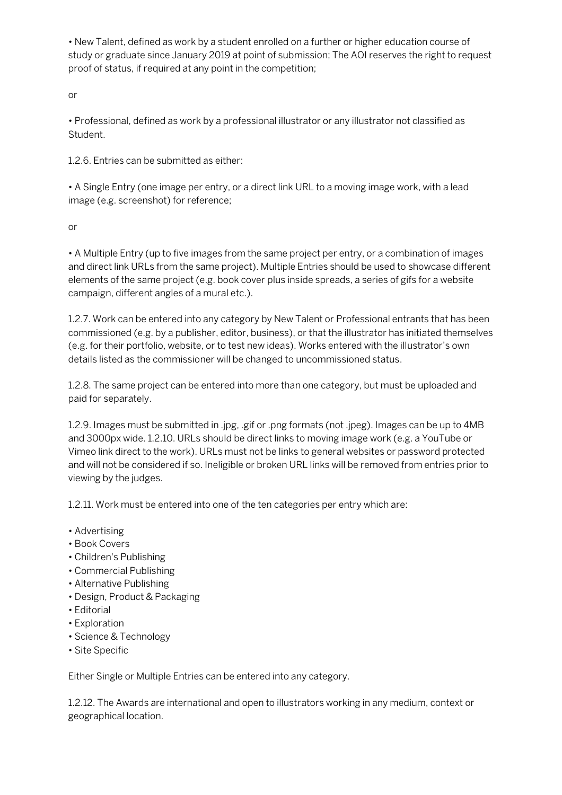• New Talent, defined as work by a student enrolled on a further or higher education course of study or graduate since January 2019 at point of submission; The AOI reserves the right to request proof of status, if required at any point in the competition;

or

• Professional, defined as work by a professional illustrator or any illustrator not classified as Student.

1.2.6. Entries can be submitted as either:

• A Single Entry (one image per entry, or a direct link URL to a moving image work, with a lead image (e.g. screenshot) for reference;

or

• A Multiple Entry (up to five images from the same project per entry, or a combination of images and direct link URLs from the same project). Multiple Entries should be used to showcase different elements of the same project (e.g. book cover plus inside spreads, a series of gifs for a website campaign, different angles of a mural etc.).

1.2.7. Work can be entered into any category by New Talent or Professional entrants that has been commissioned (e.g. by a publisher, editor, business), or that the illustrator has initiated themselves (e.g. for their portfolio, website, or to test new ideas). Works entered with the illustrator's own details listed as the commissioner will be changed to uncommissioned status.

1.2.8. The same project can be entered into more than one category, but must be uploaded and paid for separately.

1.2.9. Images must be submitted in .jpg, .gif or .png formats (not .jpeg). Images can be up to 4MB and 3000px wide. 1.2.10. URLs should be direct links to moving image work (e.g. a YouTube or Vimeo link direct to the work). URLs must not be links to general websites or password protected and will not be considered if so. Ineligible or broken URL links will be removed from entries prior to viewing by the judges.

1.2.11. Work must be entered into one of the ten categories per entry which are:

- Advertising
- Book Covers
- Children's Publishing
- Commercial Publishing
- Alternative Publishing
- Design, Product & Packaging
- Editorial
- Exploration
- Science & Technology
- Site Specific

Either Single or Multiple Entries can be entered into any category.

1.2.12. The Awards are international and open to illustrators working in any medium, context or geographical location.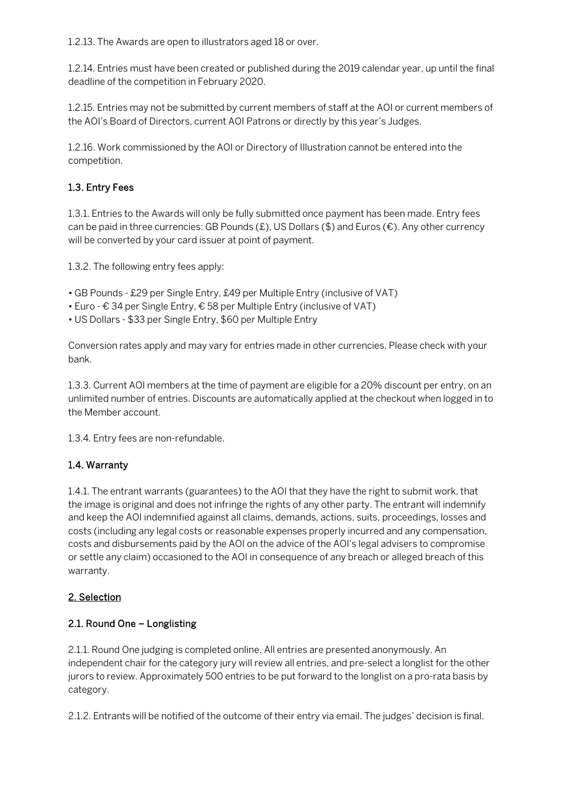1.2.13. The Awards are open to illustrators aged 18 or over.

1.2.14. Entries must have been created or published during the 2019 calendar year, up until the final deadline of the competition in February 2020.

1.2.15. Entries may not be submitted by current members of staff at the AOI or current members of the AOI's Board of Directors, current AOI Patrons or directly by this year's Judges.

1.2.16. Work commissioned by the AOI or Directory of Illustration cannot be entered into the competition.

# 1.3. Entry Fees

1.3.1. Entries to the Awards will only be fully submitted once payment has been made. Entry fees can be paid in three currencies: GB Pounds (£), US Dollars (\$) and Euros ( $\epsilon$ ). Any other currency will be converted by your card issuer at point of payment.

1.3.2. The following entry fees apply:

- GB Pounds £29 per Single Entry, £49 per Multiple Entry (inclusive of VAT)
- Euro € 34 per Single Entry, € 58 per Multiple Entry (inclusive of VAT)
- US Dollars \$33 per Single Entry, \$60 per Multiple Entry

Conversion rates apply and may vary for entries made in other currencies. Please check with your bank.

1.3.3. Current AOI members at the time of payment are eligible for a 20% discount per entry, on an unlimited number of entries. Discounts are automatically applied at the checkout when logged in to the Member account.

1.3.4. Entry fees are non-refundable.

## 1.4. Warranty

1.4.1. The entrant warrants (guarantees) to the AOI that they have the right to submit work, that the image is original and does not infringe the rights of any other party. The entrant will indemnify and keep the AOI indemnified against all claims, demands, actions, suits, proceedings, losses and costs (including any legal costs or reasonable expenses properly incurred and any compensation, costs and disbursements paid by the AOI on the advice of the AOI's legal advisers to compromise or settle any claim) occasioned to the AOI in consequence of any breach or alleged breach of this warranty.

## 2. Selection

## 2.1. Round One – Longlisting

2.1.1. Round One judging is completed online. All entries are presented anonymously. An independent chair for the category jury will review all entries, and pre-select a longlist for the other jurors to review. Approximately 500 entries to be put forward to the longlist on a pro-rata basis by category.

2.1.2. Entrants will be notified of the outcome of their entry via email. The judges' decision is final.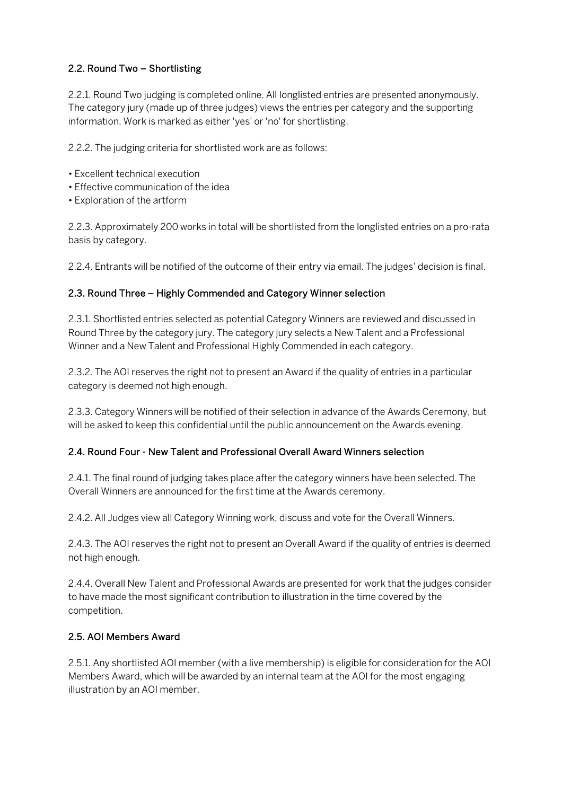# 2.2. Round Two – Shortlisting

2.2.1. Round Two judging is completed online. All longlisted entries are presented anonymously. The category jury (made up of three judges) views the entries per category and the supporting information. Work is marked as either 'yes' or 'no' for shortlisting.

2.2.2. The judging criteria for shortlisted work are as follows:

- Excellent technical execution
- Effective communication of the idea
- Exploration of the artform

2.2.3. Approximately 200 works in total will be shortlisted from the longlisted entries on a pro-rata basis by category.

2.2.4. Entrants will be notified of the outcome of their entry via email. The judges' decision is final.

## 2.3. Round Three – Highly Commended and Category Winner selection

2.3.1. Shortlisted entries selected as potential Category Winners are reviewed and discussed in Round Three by the category jury. The category jury selects a New Talent and a Professional Winner and a New Talent and Professional Highly Commended in each category.

2.3.2. The AOI reserves the right not to present an Award if the quality of entries in a particular category is deemed not high enough.

2.3.3. Category Winners will be notified of their selection in advance of the Awards Ceremony, but will be asked to keep this confidential until the public announcement on the Awards evening.

## 2.4. Round Four - New Talent and Professional Overall Award Winners selection

2.4.1. The final round of judging takes place after the category winners have been selected. The Overall Winners are announced for the first time at the Awards ceremony.

2.4.2. All Judges view all Category Winning work, discuss and vote for the Overall Winners.

2.4.3. The AOI reserves the right not to present an Overall Award if the quality of entries is deemed not high enough.

2.4.4. Overall New Talent and Professional Awards are presented for work that the judges consider to have made the most significant contribution to illustration in the time covered by the competition.

## 2.5. AOI Members Award

2.5.1. Any shortlisted AOI member (with a live membership) is eligible for consideration for the AOI Members Award, which will be awarded by an internal team at the AOI for the most engaging illustration by an AOI member.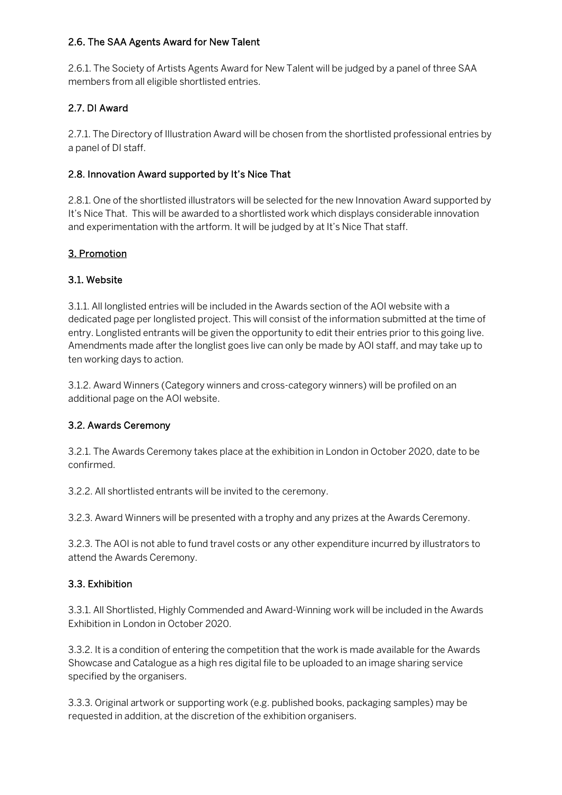### 2.6. The SAA Agents Award for New Talent

2.6.1. The Society of Artists Agents Award for New Talent will be judged by a panel of three SAA members from all eligible shortlisted entries.

## 2.7. DI Award

2.7.1. The Directory of Illustration Award will be chosen from the shortlisted professional entries by a panel of DI staff.

## 2.8. Innovation Award supported by It's Nice That

2.8.1. One of the shortlisted illustrators will be selected for the new Innovation Award supported by It's Nice That. This will be awarded to a shortlisted work which displays considerable innovation and experimentation with the artform. It will be judged by at It's Nice That staff.

## 3. Promotion

## 3.1. Website

3.1.1. All longlisted entries will be included in the Awards section of the AOI website with a dedicated page per longlisted project. This will consist of the information submitted at the time of entry. Longlisted entrants will be given the opportunity to edit their entries prior to this going live. Amendments made after the longlist goes live can only be made by AOI staff, and may take up to ten working days to action.

3.1.2. Award Winners (Category winners and cross-category winners) will be profiled on an additional page on the AOI website.

## 3.2. Awards Ceremony

3.2.1. The Awards Ceremony takes place at the exhibition in London in October 2020, date to be confirmed.

3.2.2. All shortlisted entrants will be invited to the ceremony.

3.2.3. Award Winners will be presented with a trophy and any prizes at the Awards Ceremony.

3.2.3. The AOI is not able to fund travel costs or any other expenditure incurred by illustrators to attend the Awards Ceremony.

## 3.3. Exhibition

3.3.1. All Shortlisted, Highly Commended and Award-Winning work will be included in the Awards Exhibition in London in October 2020.

3.3.2. It is a condition of entering the competition that the work is made available for the Awards Showcase and Catalogue as a high res digital file to be uploaded to an image sharing service specified by the organisers.

3.3.3. Original artwork or supporting work (e.g. published books, packaging samples) may be requested in addition, at the discretion of the exhibition organisers.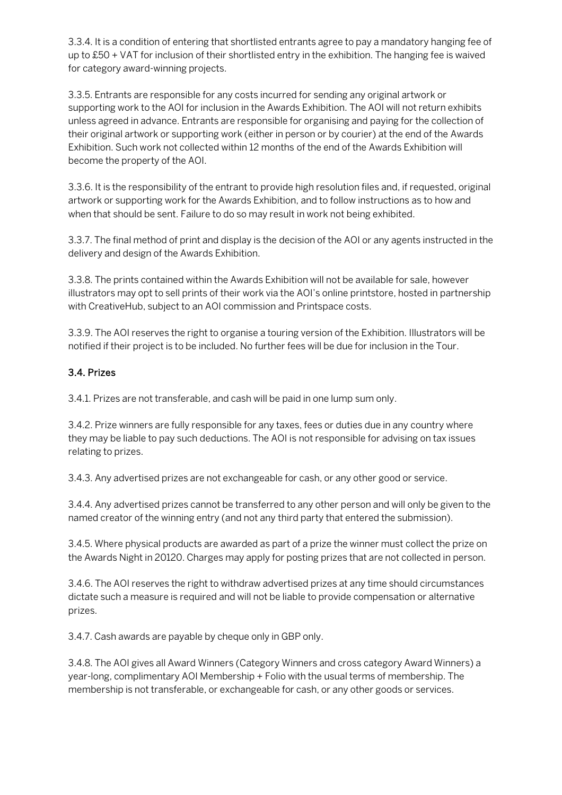3.3.4. It is a condition of entering that shortlisted entrants agree to pay a mandatory hanging fee of up to £50 + VAT for inclusion of their shortlisted entry in the exhibition. The hanging fee is waived for category award-winning projects.

3.3.5. Entrants are responsible for any costs incurred for sending any original artwork or supporting work to the AOI for inclusion in the Awards Exhibition. The AOI will not return exhibits unless agreed in advance. Entrants are responsible for organising and paying for the collection of their original artwork or supporting work (either in person or by courier) at the end of the Awards Exhibition. Such work not collected within 12 months of the end of the Awards Exhibition will become the property of the AOI.

3.3.6. It is the responsibility of the entrant to provide high resolution files and, if requested, original artwork or supporting work for the Awards Exhibition, and to follow instructions as to how and when that should be sent. Failure to do so may result in work not being exhibited.

3.3.7. The final method of print and display is the decision of the AOI or any agents instructed in the delivery and design of the Awards Exhibition.

3.3.8. The prints contained within the Awards Exhibition will not be available for sale, however illustrators may opt to sell prints of their work via the AOI's online printstore, hosted in partnership with CreativeHub, subject to an AOI commission and Printspace costs.

3.3.9. The AOI reserves the right to organise a touring version of the Exhibition. Illustrators will be notified if their project is to be included. No further fees will be due for inclusion in the Tour.

## 3.4. Prizes

3.4.1. Prizes are not transferable, and cash will be paid in one lump sum only.

3.4.2. Prize winners are fully responsible for any taxes, fees or duties due in any country where they may be liable to pay such deductions. The AOI is not responsible for advising on tax issues relating to prizes.

3.4.3. Any advertised prizes are not exchangeable for cash, or any other good or service.

3.4.4. Any advertised prizes cannot be transferred to any other person and will only be given to the named creator of the winning entry (and not any third party that entered the submission).

3.4.5. Where physical products are awarded as part of a prize the winner must collect the prize on the Awards Night in 20120. Charges may apply for posting prizes that are not collected in person.

3.4.6. The AOI reserves the right to withdraw advertised prizes at any time should circumstances dictate such a measure is required and will not be liable to provide compensation or alternative prizes.

3.4.7. Cash awards are payable by cheque only in GBP only.

3.4.8. The AOI gives all Award Winners (Category Winners and cross category Award Winners) a year-long, complimentary AOI Membership + Folio with the usual terms of membership. The membership is not transferable, or exchangeable for cash, or any other goods or services.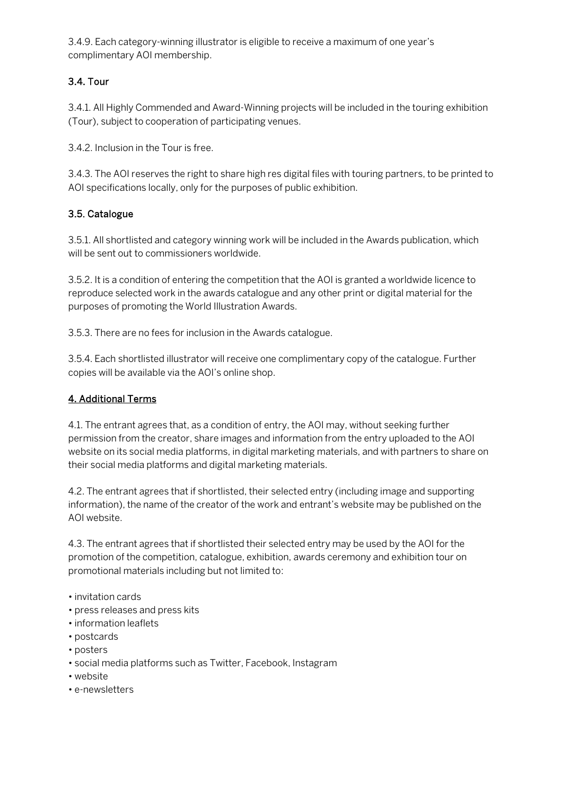3.4.9. Each category-winning illustrator is eligible to receive a maximum of one year's complimentary AOI membership.

# 3.4. Tour

3.4.1. All Highly Commended and Award-Winning projects will be included in the touring exhibition (Tour), subject to cooperation of participating venues.

3.4.2. Inclusion in the Tour is free.

3.4.3. The AOI reserves the right to share high res digital files with touring partners, to be printed to AOI specifications locally, only for the purposes of public exhibition.

## 3.5. Catalogue

3.5.1. All shortlisted and category winning work will be included in the Awards publication, which will be sent out to commissioners worldwide.

3.5.2. It is a condition of entering the competition that the AOI is granted a worldwide licence to reproduce selected work in the awards catalogue and any other print or digital material for the purposes of promoting the World Illustration Awards.

3.5.3. There are no fees for inclusion in the Awards catalogue.

3.5.4. Each shortlisted illustrator will receive one complimentary copy of the catalogue. Further copies will be available via the AOI's online shop.

### 4. Additional Terms

4.1. The entrant agrees that, as a condition of entry, the AOI may, without seeking further permission from the creator, share images and information from the entry uploaded to the AOI website on its social media platforms, in digital marketing materials, and with partners to share on their social media platforms and digital marketing materials.

4.2. The entrant agrees that if shortlisted, their selected entry (including image and supporting information), the name of the creator of the work and entrant's website may be published on the AOI website.

4.3. The entrant agrees that if shortlisted their selected entry may be used by the AOI for the promotion of the competition, catalogue, exhibition, awards ceremony and exhibition tour on promotional materials including but not limited to:

- invitation cards
- press releases and press kits
- information leaflets
- postcards
- posters
- social media platforms such as Twitter, Facebook, Instagram
- website
- e-newsletters